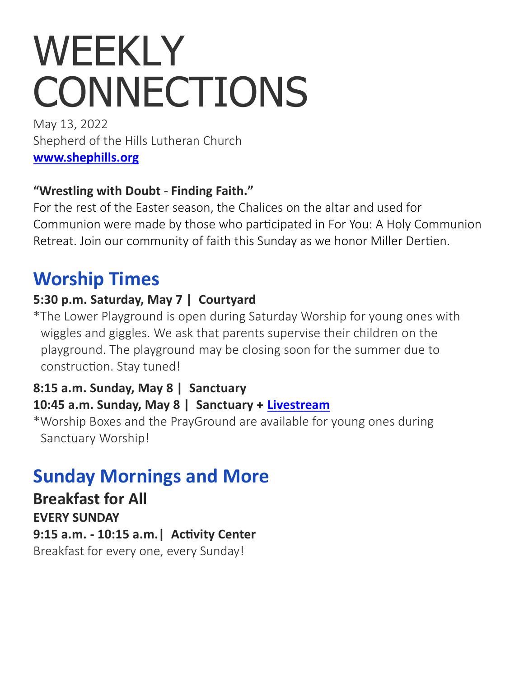# **WEEKLY CONNECTIONS**

May 13, 2022 Shepherd of the Hills Lutheran Church **[www.shephills.org](http://www.shephills.org)**

#### **"Wrestling with Doubt - Finding Faith."**

For the rest of the Easter season, the Chalices on the altar and used for Communion were made by those who participated in For You: A Holy Communion Retreat. Join our community of faith this Sunday as we honor Miller Dertien.

# **Worship Times**

#### **5:30 p.m. Saturday, May 7 | Courtyard**

\*The Lower Playground is open during Saturday Worship for young ones with wiggles and giggles. We ask that parents supervise their children on the playground. The playground may be closing soon for the summer due to construction. Stay tuned!

#### **8:15 a.m. Sunday, May 8 | Sanctuary 10:45 a.m. Sunday, May 8 | Sanctuary + [Livestream](http://www.shephills.org/watch)**

\*Worship Boxes and the PrayGround are available for young ones during Sanctuary Worship!

# **Sunday Mornings and More**

**Breakfast for All EVERY SUNDAY 9:15 a.m. - 10:15 a.m.| Activity Center** Breakfast for every one, every Sunday!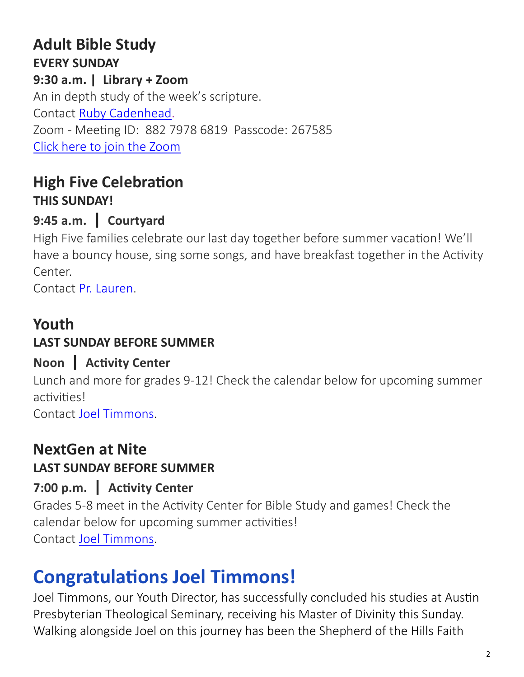#### **Adult Bible Study EVERY SUNDAY 9:30 a.m. | Library + Zoom** An in depth study of the week's scripture. Contact [Ruby Cadenhead.](mailto:rubies61@gmail.com) Zoom - Meeting ID: 882 7978 6819 Passcode: 267585 [Click here to join the Zoom](https://us02web.zoom.us/j/88279786819?pwd=Uytzc1NsT0xCWlM5dnVCMlBFZ1djUT09)

### **High Five Celebration THIS SUNDAY!**

### **9:45 a.m. | Courtyard**

High Five families celebrate our last day together before summer vacation! We'll have a bouncy house, sing some songs, and have breakfast together in the Activity Center.

Contact [Pr. Lauren.](mailto:lauren@shephills.org)

### **Youth**

#### **LAST SUNDAY BEFORE SUMMER**

#### **Noon | Activity Center**

Lunch and more for grades 9-12! Check the calendar below for upcoming summer activities!

Contact [Joel Timmons.](mailto:joel@shephills.org)

### **NextGen at Nite**

#### **LAST SUNDAY BEFORE SUMMER**

#### **7:00 p.m. | Activity Center**

Grades 5-8 meet in the Activity Center for Bible Study and games! Check the calendar below for upcoming summer activities! Contact [Joel Timmons.](mailto:joel@shephills.org)

# **Congratulations Joel Timmons!**

Joel Timmons, our Youth Director, has successfully concluded his studies at Austin Presbyterian Theological Seminary, receiving his Master of Divinity this Sunday. Walking alongside Joel on this journey has been the Shepherd of the Hills Faith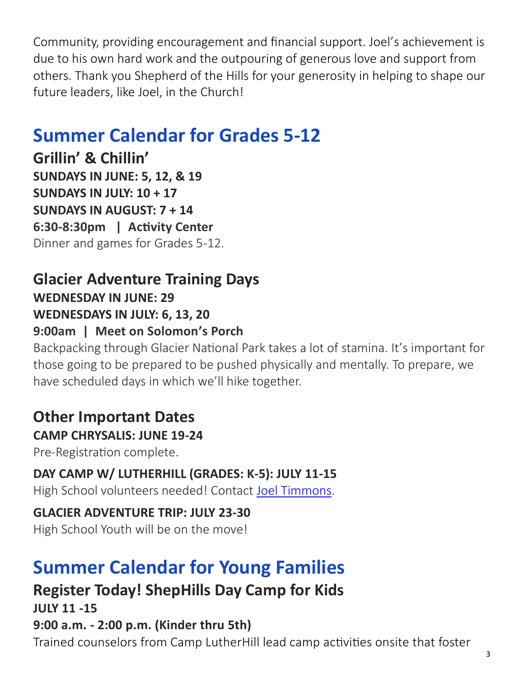Community, providing encouragement and financial support. Joel's achievement is due to his own hard work and the outpouring of generous love and support from others. Thank you Shepherd of the Hills for your generosity in helping to shape our future leaders, like Joel, in the Church!

# **Summer Calendar for Grades 5-12**

**Grillin' & Chillin' SUNDAYS IN JUNE: 5, 12, & 19 SUNDAYS IN JULY: 10 + 17 SUNDAYS IN AUGUST: 7 + 14 6:30-8:30pm | Activity Center** Dinner and games for Grades 5-12.

**Glacier Adventure Training Days WEDNESDAY IN JUNE: 29 WEDNESDAYS IN JULY: 6, 13, 20** 

#### **9:00am | Meet on Solomon's Porch**

Backpacking through Glacier National Park takes a lot of stamina. It's important for those going to be prepared to be pushed physically and mentally. To prepare, we have scheduled days in which we'll hike together.

## **Other Important Dates**

#### **CAMP CHRYSALIS: JUNE 19-24**

Pre-Registration complete.

**DAY CAMP W/ LUTHERHILL (GRADES: K-5): JULY 11-15**  High School volunteers needed! Contact [Joel Timmons.](mailto:joel@shephills.org)

#### **GLACIER ADVENTURE TRIP: JULY 23-30**

High School Youth will be on the move!

# **Summer Calendar for Young Families**

#### **Register Today! ShepHills Day Camp for Kids JULY 11 -15 9:00 a.m. - 2:00 p.m. (Kinder thru 5th)**

Trained counselors from Camp LutherHill lead camp activities onsite that foster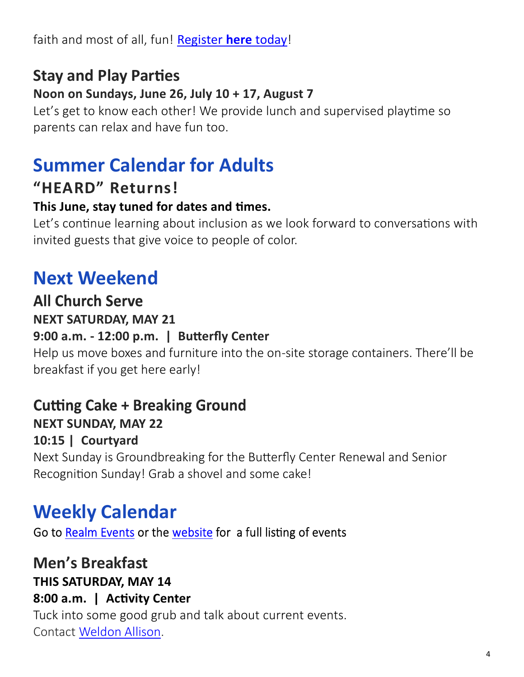### **Stay and Play Parties**

#### **Noon on Sundays, June 26, July 10 + 17, August 7**

Let's get to know each other! We provide lunch and supervised playtime so parents can relax and have fun too.

# **Summer Calendar for Adults**

### **"HEARD" Returns!**

#### **This June, stay tuned for dates and times.**

Let's continue learning about inclusion as we look forward to conversations with invited guests that give voice to people of color.

# **Next Weekend**

# **All Church Serve**

#### **NEXT SATURDAY, MAY 21**

#### **9:00 a.m. - 12:00 p.m. | Butterfly Center**

Help us move boxes and furniture into the on-site storage containers. There'll be breakfast if you get here early!

# **Cutting Cake + Breaking Ground**

#### **NEXT SUNDAY, MAY 22**

#### **10:15 | Courtyard**

Next Sunday is Groundbreaking for the Butterfly Center Renewal and Senior Recognition Sunday! Grab a shovel and some cake!

# **We[ekly Calen](http://onrealm.org/shephills)da[r](http://www.shephills.org/events)**

Go to Realm Events or the website for a full listing of events

### **Men's Breakfast**

#### **THIS SATURDAY, MAY 14**

#### **8:00 a.m. | Activity Center**

Tuck into some good grub and talk about current events.

Contact [Weldon Allison.](mailto:weldon.allison.46@gmail.com)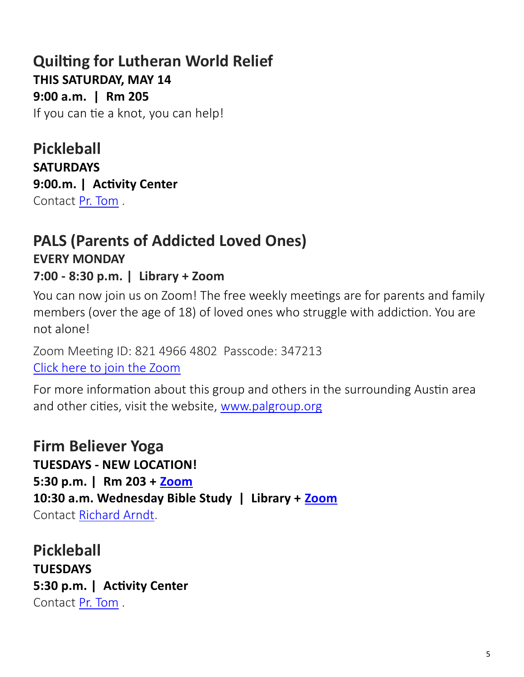#### **Quilting for Lutheran World Relief THIS SATURDAY, MAY 14 9:00 a.m. | Rm 205**  If you can tie a knot, you can help!

**Pickleball SATURDAYS 9:00.m. | Activity Center** Contact [Pr. Tom](mailto:tom@shephills.org) .

# **PALS (Parents of Addicted Loved Ones) EVERY MONDAY**

#### **7:00 - 8:30 p.m. | Library + Zoom**

You can now join us on Zoom! The free weekly meetings are for parents and family members (over the age of 18) of loved ones who struggle with addiction. You are not alone!

Zoom Meeting ID: 821 4966 4802 Passcode: 347213 [Click here to join the Zoom](https://us02web.zoom.us/j/82149664802?pwd=UW1Tc3NOdEpQbXBSQlZWY0NMZ1J0QT09)

For more information about this group and others in the surrounding Austin area and other cities, visit the website, [www.palgroup.org](http://www.palgroup.org)

**Firm Believer Yoga TUESDAYS - NEW LOCATION! 5:30 p.m. | Rm 203 + [Zoom](https://us02web.zoom.us/j/88431433954?pwd=T2g1RG1JRk5xNUpEZ2VHd0FNUHFadz09) 10:30 a.m. Wednesday Bible Study | Library + [Zoom](https://us02web.zoom.us/j/83923102323?pwd=YTk4UFBjWWNjU1YzenJqeTNMaE0yQT09)** Contact [Richard Arndt.](mailto:richardlarndt@gmail.com)

**Pickleball TUESDAYS 5:30 p.m. | Activity Center**  Contact [Pr. Tom](mailto:tom@shephills.org) .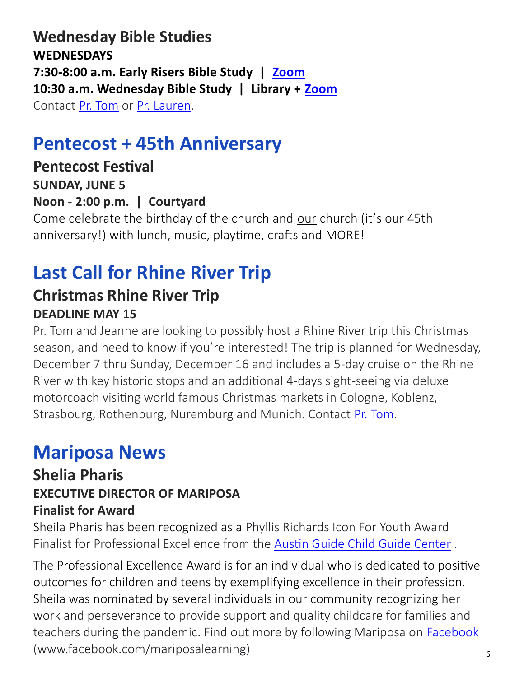**Wednesday Bible Studies WEDNESDAYS 7:30-8:00 a.m. Early Risers Bible Study | [Zoom](https://us02web.zoom.us/j/88431433954?pwd=T2g1RG1JRk5xNUpEZ2VHd0FNUHFadz09) 10:30 a.m. Wednesday Bible Study | Library + [Zoom](https://us02web.zoom.us/j/83923102323?pwd=YTk4UFBjWWNjU1YzenJqeTNMaE0yQT09)** Contact [Pr. Tom](mailto:tom@shephills.org) or [Pr. Lauren.](mailto:lauren@shephills.org)

# **Pentecost + 45th Anniversary**

**Pentecost Festival SUNDAY, JUNE 5 Noon - 2:00 p.m. | Courtyard** Come celebrate the birthday of the church and our church (it's our 45th anniversary!) with lunch, music, playtime, crafts and MORE!

# **Last Call for Rhine River Trip**

### **Christmas Rhine River Trip DEADLINE MAY 15**

Pr. Tom and Jeanne are looking to possibly host a Rhine River trip this Christmas season, and need to know if you're interested! The trip is planned for Wednesday, December 7 thru Sunday, December 16 and includes a 5-day cruise on the Rhine River with key historic stops and an additional 4-days sight-seeing via deluxe motorcoach visiting world famous Christmas markets in Cologne, Koblenz, Strasbourg, Rothenburg, Nuremburg and Munich. Contact [Pr. Tom.](mailto:tom@shephills.org)

# **Mariposa News**

#### **Shelia Pharis EXECUTIVE DIRECTOR OF MARIPOSA Finalist for Award**

Sheila Pharis has been recognized as a Phyllis Richards Icon For Youth Award Finalist for Professional Excellence from the **[Austin Guide Child Guide Center](https://www.austinchildguidance.org/news-events/blog-posts.html/article/2022/02/25/phyllis-richards-icon-for-youth-awards)**.

The Professional Excellence Award is for an individual who is dedicated to positive outcomes for children and teens by exemplifying excellence in their profession. Sheila was nominated by several individuals in our community recognizing her work and perseverance to provide support and quality childcare for families and teachers during the pandemic. Find out more by following Mariposa on [Facebook](https://www.facebook.com/mariposalearning/) (www.facebook.com/mariposalearning)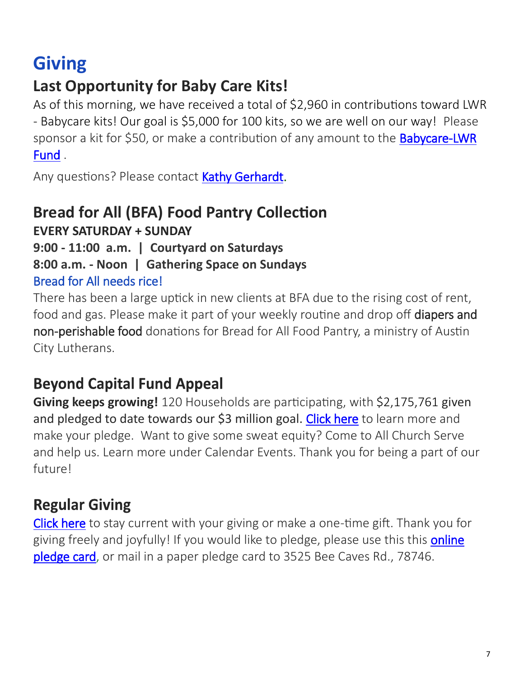# **Giving**

### **Last Opportunity for Baby Care Kits!**

As of this morning, we have received a total of \$2,960 in contributions toward LWR - Babycare kits! Our goal is \$5,000 for 100 kits, so we are well on our way! Please sponsor a kit for \$50, or make a contribution of any amount to the **[Babycare](https://onrealm.org/shephills/give/babycare-lwr)-LWR** [Fund](https://onrealm.org/shephills/give/babycare-lwr) .

Any questions? Please contact [Kathy Gerhardt.](mailto:kathnmark@gmail.com)

### **Bread for All (BFA) Food Pantry Collection**

**EVERY SATURDAY + SUNDAY**

**9:00 - 11:00 a.m. | Courtyard on Saturdays**

#### **8:00 a.m. - Noon | Gathering Space on Sundays**

#### Bread for All needs rice!

There has been a large uptick in new clients at BFA due to the rising cost of rent, food and gas. Please make it part of your weekly routine and drop off diapers and non-perishable food donations for Bread for All Food Pantry, a ministry of Austin City Lutherans.

### **Beyond Capital Fund Appeal**

**Giving keeps growing!** 120 Households are participating, with \$2,175,761 given and pledged to date towards our \$3 million goal. [Click here](https://shephills.org/beyond/) to learn more and make your pledge. Want to give some sweat equity? Come to All Church Serve and help us. Learn more under Calendar Events. Thank you for being a part of our future!

### **Regular Giving**

[Click here](https://shephills.org/give/) to stay current with your giving or make a one-time gift. Thank you for giving freely and joyfully! If you would like to pledge, please use this this **online** [pledge card,](https://shephills.org/pledge/) or mail in a paper pledge card to 3525 Bee Caves Rd., 78746.